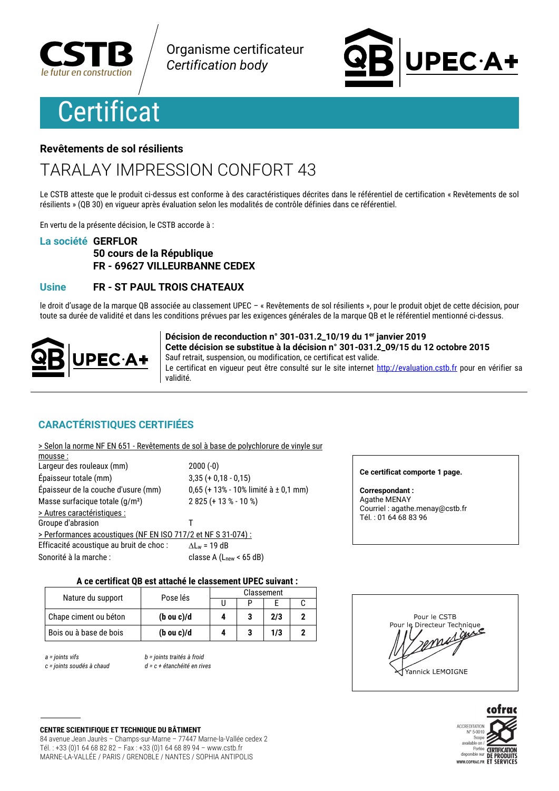

Organisme certificateur **Certification body** 

# **Certificat**



### Revêtements de sol résilients

# **TARALAY IMPRESSION CONFORT 43**

Le CSTB atteste que le produit ci-dessus est conforme à des caractéristiques décrites dans le référentiel de certification « Revêtements de sol résilients » (QB 30) en vigueur après évaluation selon les modalités de contrôle définies dans ce référentiel.

En vertu de la présente décision, le CSTB accorde à :

### La société GERFLOR

### 50 cours de la République FR - 69627 VILLEURBANNE CEDEX

### **Usine** FR - ST PAUL TROIS CHATEAUX

le droit d'usage de la marque OB associée au classement UPEC - « Revêtements de sol résilients », pour le produit objet de cette décision, pour toute sa durée de validité et dans les conditions prévues par les exigences générales de la marque QB et le référentiel mentionné ci-dessus.



Décision de reconduction n° 301-031.2\_10/19 du 1er janvier 2019 Cette décision se substitue à la décision n° 301-031.2 09/15 du 12 octobre 2015 Sauf retrait, suspension, ou modification, ce certificat est valide. Le certificat en vigueur peut être consulté sur le site internet http://evaluation.cstb.fr pour en vérifier sa **Atihiky** 

### **CARACTÉRISTIQUES CERTIFIÉES**

| > Selon la norme NF EN 651 - Revêtements de sol à base de polychlorure de vinyle sur |                                      |
|--------------------------------------------------------------------------------------|--------------------------------------|
| mousse:                                                                              |                                      |
| Largeur des rouleaux (mm)                                                            | $2000(-0)$                           |
| Épaisseur totale (mm)                                                                | $3,35 (+ 0,18 - 0,15)$               |
| Épaisseur de la couche d'usure (mm)                                                  | 0,65 (+ 13% - 10% limité à ± 0,1 mm) |
| Masse surfacique totale (g/m <sup>2</sup> )                                          | $2825 (+ 13 % - 10 %)$               |
| > Autres caractéristiques :                                                          |                                      |
| Groupe d'abrasion                                                                    |                                      |
| > Performances acoustiques (NF EN ISO 717/2 et NF S 31-074) :                        |                                      |
| Efficacité acoustique au bruit de choc :                                             | $\Delta L_w = 19$ dB                 |
| Sonorité à la marche :                                                               | classe A $(Lnew < 65 dB)$            |
|                                                                                      |                                      |

### Ce certificat comporte 1 page.

**Correspondant:** Agathe MENAY Courriel : agathe.menay@cstb.fr Tél.: 01 64 68 83 96

### A ce certificat QB est attaché le classement UPEC suivant :

|                        | Nature du support<br>Pose lés | Classement |  |     |  |
|------------------------|-------------------------------|------------|--|-----|--|
|                        |                               |            |  |     |  |
| Chape ciment ou béton  | $(b \text{ ou } c)/d$         |            |  | 2/3 |  |
| Bois ou à base de bois | (bou c)/d                     |            |  | 1/3 |  |

 $a = 0$  ioints vifs

c = joints soudés à chaud

b = joints traités à froid  $d = c + 4$ átanchéité en rives

### Pour le CSTB Pour le Directeur Technique guie Yannick LEMOIGNE



### **CENTRE SCIENTIFIQUE ET TECHNIQUE DU BÂTIMENT**

84 avenue Jean Jaurès - Champs-sur-Marne - 77447 Marne-la-Vallée cedex 2 Tél.: +33 (0)1 64 68 82 82 - Fax: +33 (0)1 64 68 89 94 - www.cstb.fr MARNE-LA-VALLÉE / PARIS / GRENOBLE / NANTES / SOPHIA ANTIPOLIS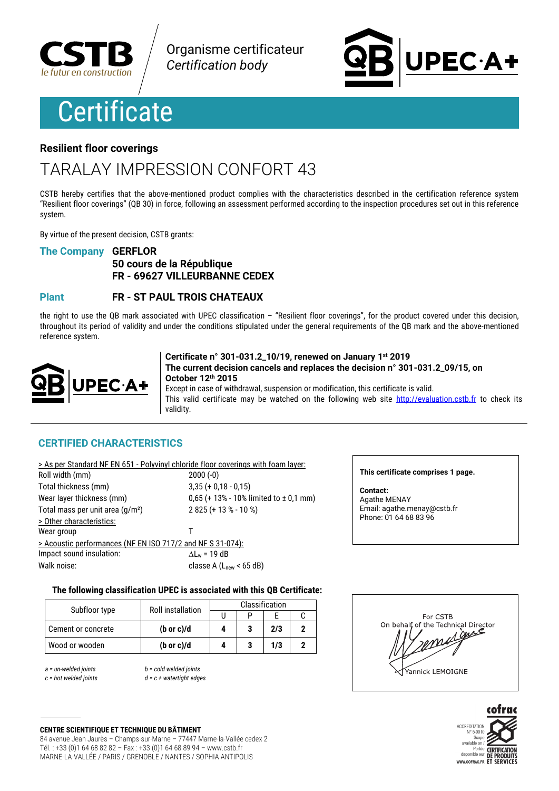

Organisme certificateur **Certification body** 

# **Certificate**

# **PEC·A+**

### **Resilient floor coverings**

## **TARAI AY IMPRESSION CONFORT 43**

CSTB hereby certifies that the above-mentioned product complies with the characteristics described in the certification reference system "Resilient floor coverings" (QB 30) in force, following an assessment performed according to the inspection procedures set out in this reference system.

By virtue of the present decision. CSTB grants:

### **The Company GERFLOR**

### 50 cours de la République FR - 69627 VILLEURBANNE CEDEX

#### **FR - ST PAUL TROIS CHATEAUX Plant**

the right to use the QB mark associated with UPEC classification  $-$  "Resilient floor coverings", for the product covered under this decision, throughout its period of validity and under the conditions stipulated under the general requirements of the QB mark and the above-mentioned reference system.



Certificate n° 301-031.2\_10/19, renewed on January 1st 2019 The current decision cancels and replaces the decision n° 301-031.2 09/15, on October 12th 2015 Except in case of withdrawal, suspension or modification, this certificate is valid.

This valid certificate may be watched on the following web site http://evaluation.cstb.fr to check its validity.

### **CERTIFIED CHARACTERISTICS**

|                                                            | > As per Standard NF EN 651 - Polyvinyl chloride floor coverings with foam layer: |
|------------------------------------------------------------|-----------------------------------------------------------------------------------|
| Roll width (mm)                                            | $2000(-0)$                                                                        |
| Total thickness (mm)                                       | $3,35 (+ 0,18 - 0,15)$                                                            |
| Wear layer thickness (mm)                                  | $0,65$ (+ 13% - 10% limited to $\pm$ 0,1 mm)                                      |
| Total mass per unit area (g/m <sup>2</sup> )               | $2825 (+ 13 % - 10 %)$                                                            |
| > Other characteristics:                                   |                                                                                   |
| Wear group                                                 |                                                                                   |
| > Acoustic performances (NF EN ISO 717/2 and NF S 31-074): |                                                                                   |
| Impact sound insulation:                                   | $\Delta L_w = 19$ dB                                                              |
| Walk noise:                                                | classe A $(Lnew < 65 dB)$                                                         |

### This certificate comprises 1 page.

Contact: Agathe MENAY Email: agathe.menay@cstb.fr Phone: 01 64 68 83 96

### The following classification UPEC is associated with this QB Certificate:

| Subfloor type      | <b>Roll installation</b> | Classification |  |     |  |
|--------------------|--------------------------|----------------|--|-----|--|
|                    |                          |                |  |     |  |
| Cement or concrete | $(b \text{ or } c)/d$    |                |  | 2/3 |  |
| Wood or wooden     | $(b \text{ or } c)/d$    |                |  | 1/3 |  |

 $a =$  un-welded joints  $c = hot$  welded ioints  $b = cold$  welded joints  $d = c + watertiaht$  edges





**CENTRE SCIENTIFIQUE ET TECHNIQUE DU BÂTIMENT** 84 avenue Jean Jaurès - Champs-sur-Marne - 77447 Marne-la-Vallée cedex 2 Tél.: +33 (0)1 64 68 82 82 - Fax: +33 (0)1 64 68 89 94 - www.cstb.fr MARNE-LA-VALLÉE / PARIS / GRENOBLE / NANTES / SOPHIA ANTIPOLIS